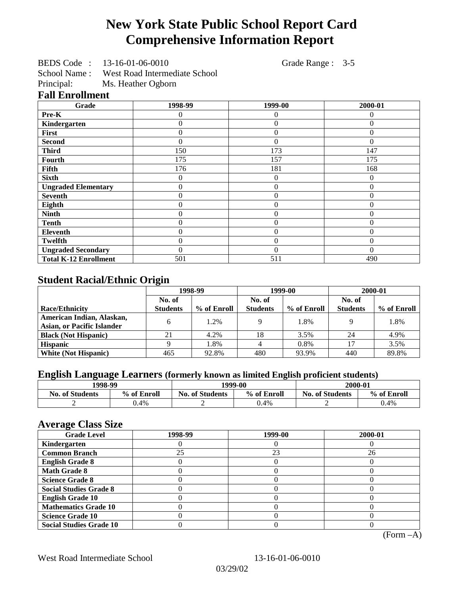# **New York State Public School Report Card Comprehensive Information Report**

BEDS Code : 13-16-01-06-0010 Grade Range : 3-5

School Name : West Road Intermediate School<br>Principal: Ms. Heather Ogborn

Ms. Heather Ogborn

### **Fall Enrollment**

| Grade                        | 1998-99        | 1999-00        | 2000-01  |
|------------------------------|----------------|----------------|----------|
| Pre-K                        | 0              | 0              | 0        |
| Kindergarten                 | 0              | $\theta$       | $\Omega$ |
| First                        | 0              | $\theta$       | $\Omega$ |
| <b>Second</b>                | 0              | $\theta$       | $\Omega$ |
| <b>Third</b>                 | 150            | 173            | 147      |
| Fourth                       | 175            | 157            | 175      |
| Fifth                        | 176            | 181            | 168      |
| <b>Sixth</b>                 | 0              | $\overline{0}$ | $\Omega$ |
| <b>Ungraded Elementary</b>   | 0              | $\overline{0}$ | $\theta$ |
| <b>Seventh</b>               | $\overline{0}$ | $\overline{0}$ | $\theta$ |
| Eighth                       | $\theta$       | $\theta$       | $\Omega$ |
| <b>Ninth</b>                 | 0              | $\overline{0}$ | $\theta$ |
| <b>Tenth</b>                 | 0              | $\overline{0}$ | $\theta$ |
| <b>Eleventh</b>              | 0              | $\overline{0}$ | $\Omega$ |
| <b>Twelfth</b>               | 0              | $\overline{0}$ | $\Omega$ |
| <b>Ungraded Secondary</b>    | 0              | $\Omega$       | $\Omega$ |
| <b>Total K-12 Enrollment</b> | 501            | 511            | 490      |

## **Student Racial/Ethnic Origin**

|                                   | 1998-99         |             | 1999-00         |             | 2000-01         |             |
|-----------------------------------|-----------------|-------------|-----------------|-------------|-----------------|-------------|
|                                   | No. of          |             | No. of          |             | No. of          |             |
| <b>Race/Ethnicity</b>             | <b>Students</b> | % of Enroll | <b>Students</b> | % of Enroll | <b>Students</b> | % of Enroll |
| American Indian, Alaskan,         | 6               | 1.2%        |                 | 1.8%        |                 | 1.8%        |
| <b>Asian, or Pacific Islander</b> |                 |             |                 |             |                 |             |
| <b>Black (Not Hispanic)</b>       | 21              | 4.2%        | 18              | 3.5%        | 24              | 4.9%        |
| <b>Hispanic</b>                   |                 | 1.8%        |                 | 0.8%        |                 | 3.5%        |
| <b>White (Not Hispanic)</b>       | 465             | 92.8%       | 480             | 93.9%       | 440             | 89.8%       |

## **English Language Learners (formerly known as limited English proficient students)**

| 1998-99                |             | 1999-00                |             | 2000-01                |             |
|------------------------|-------------|------------------------|-------------|------------------------|-------------|
| <b>No. of Students</b> | % of Enroll | <b>No. of Students</b> | % of Enroll | <b>No. of Students</b> | % of Enroll |
|                        | 4%،ر        | ∼                      | 0.4%        |                        | 0.4%        |

#### **Average Class Size**

| ---- <del>--</del> -<br><b>Grade Level</b> | 1998-99 | 1999-00 | 2000-01 |
|--------------------------------------------|---------|---------|---------|
| Kindergarten                               |         |         |         |
| <b>Common Branch</b>                       | 25      | 23      | 26      |
| <b>English Grade 8</b>                     |         |         |         |
| <b>Math Grade 8</b>                        |         |         |         |
| <b>Science Grade 8</b>                     |         |         |         |
| <b>Social Studies Grade 8</b>              |         |         |         |
| <b>English Grade 10</b>                    |         |         |         |
| <b>Mathematics Grade 10</b>                |         |         |         |
| <b>Science Grade 10</b>                    |         |         |         |
| <b>Social Studies Grade 10</b>             |         |         |         |

(Form –A)